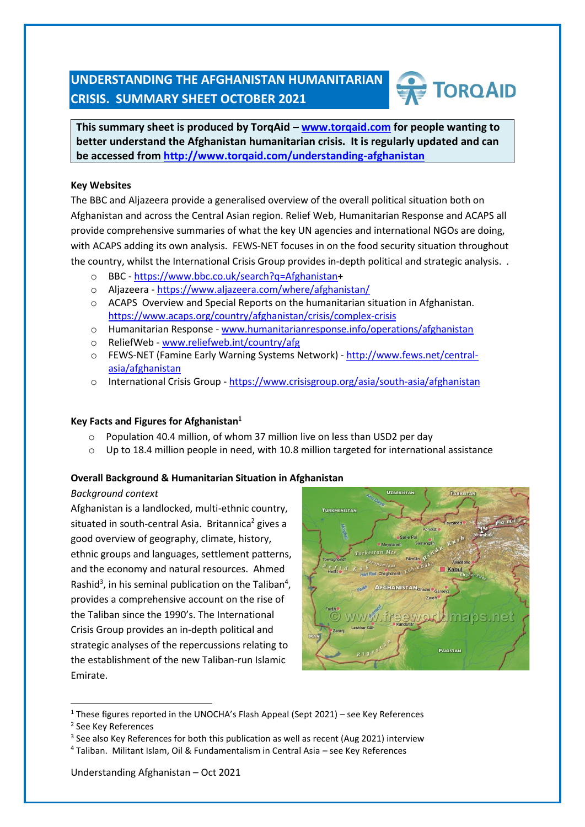## **UNDERSTANDING THE AFGHANISTAN HUMANITARIAN CRISIS. SUMMARY SHEET OCTOBER 2021**

# **TORQAID**

**This summary sheet is produced by TorqAid – [www.torqaid.com](http://www.torqaid.com/) for people wanting to better understand the Afghanistan humanitarian crisis. It is regularly updated and can be accessed from<http://www.torqaid.com/understanding-afghanistan>**

#### **Key Websites**

The BBC and Aljazeera provide a generalised overview of the overall political situation both on Afghanistan and across the Central Asian region. Relief Web, Humanitarian Response and ACAPS all provide comprehensive summaries of what the key UN agencies and international NGOs are doing, with ACAPS adding its own analysis. FEWS-NET focuses in on the food security situation throughout the country, whilst the International Crisis Group provides in-depth political and strategic analysis. .

- o BBC [https://www.bbc.co.uk/search?q=Afghanistan+](https://www.bbc.co.uk/search?q=Afghanistan)
- o Aljazeera <https://www.aljazeera.com/where/afghanistan/>
- o ACAPS Overview and Special Reports on the humanitarian situation in Afghanistan. <https://www.acaps.org/country/afghanistan/crisis/complex-crisis>
- o Humanitarian Response [www.humanitarianresponse.info/operations/afghanistan](http://www.humanitarianresponse.info/operations/afghanistan)
- o ReliefWeb [www.reliefweb.int/country/afg](http://www.reliefweb.int/country/afg)
- o FEWS-NET (Famine Early Warning Systems Network) [http://www.fews.net/central](http://www.fews.net/central-asia/afghanistan)[asia/afghanistan](http://www.fews.net/central-asia/afghanistan)
- o International Crisis Group <https://www.crisisgroup.org/asia/south-asia/afghanistan>

#### **Key Facts and Figures for Afghanistan<sup>1</sup>**

- o Population 40.4 million, of whom 37 million live on less than USD2 per day
- o Up to 18.4 million people in need, with 10.8 million targeted for international assistance

#### **Overall Background & Humanitarian Situation in Afghanistan**

#### *Background context*

Afghanistan is a landlocked, multi-ethnic country, situated in south-central Asia. Britannica<sup>2</sup> gives a good overview of geography, climate, history, ethnic groups and languages, settlement patterns, and the economy and natural resources. Ahmed Rashid<sup>3</sup>, in his seminal publication on the Taliban<sup>4</sup>, provides a comprehensive account on the rise of the Taliban since the 1990's. The International Crisis Group provides an in-depth political and strategic analyses of the repercussions relating to the establishment of the new Taliban-run Islamic Emirate.



 $1$  These figures reported in the UNOCHA's Flash Appeal (Sept 2021) – see Key References

<sup>3</sup> See also Key References for both this publication as well as recent (Aug 2021) interview

<sup>2</sup> See Key References

<sup>4</sup> Taliban. Militant Islam, Oil & Fundamentalism in Central Asia – see Key References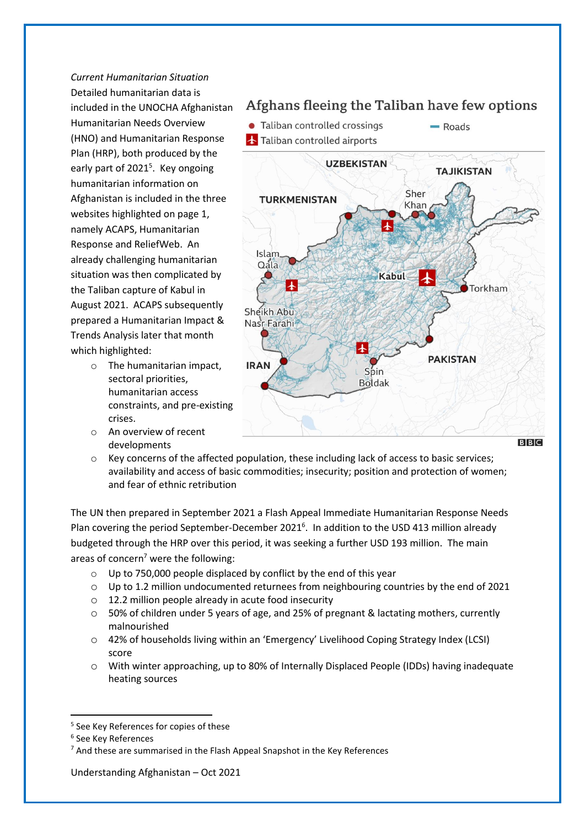*Current Humanitarian Situation* Detailed humanitarian data is included in the UNOCHA Afghanistan Humanitarian Needs Overview (HNO) and Humanitarian Response Plan (HRP), both produced by the early part of 2021<sup>5</sup>. Key ongoing humanitarian information on Afghanistan is included in the three websites highlighted on page 1, namely ACAPS, Humanitarian Response and ReliefWeb. An already challenging humanitarian situation was then complicated by the Taliban capture of Kabul in August 2021. ACAPS subsequently prepared a Humanitarian Impact & Trends Analysis later that month which highlighted:

- o The humanitarian impact, sectoral priorities, humanitarian access constraints, and pre-existing crises.
- o An overview of recent developments

### Afghans fleeing the Taliban have few options



o Key concerns of the affected population, these including lack of access to basic services; availability and access of basic commodities; insecurity; position and protection of women; and fear of ethnic retribution

The UN then prepared in September 2021 a Flash Appeal Immediate Humanitarian Response Needs Plan covering the period September-December 2021<sup>6</sup>. In addition to the USD 413 million already budgeted through the HRP over this period, it was seeking a further USD 193 million. The main areas of concern<sup>7</sup> were the following:

- o Up to 750,000 people displaced by conflict by the end of this year
- o Up to 1.2 million undocumented returnees from neighbouring countries by the end of 2021
- o 12.2 million people already in acute food insecurity
- o 50% of children under 5 years of age, and 25% of pregnant & lactating mothers, currently malnourished
- o 42% of households living within an 'Emergency' Livelihood Coping Strategy Index (LCSI) score
- o With winter approaching, up to 80% of Internally Displaced People (IDDs) having inadequate heating sources

Understanding Afghanistan – Oct 2021

 $B|B|C$ 

<sup>5</sup> See Key References for copies of these

<sup>6</sup> See Key References

<sup>&</sup>lt;sup>7</sup> And these are summarised in the Flash Appeal Snapshot in the Key References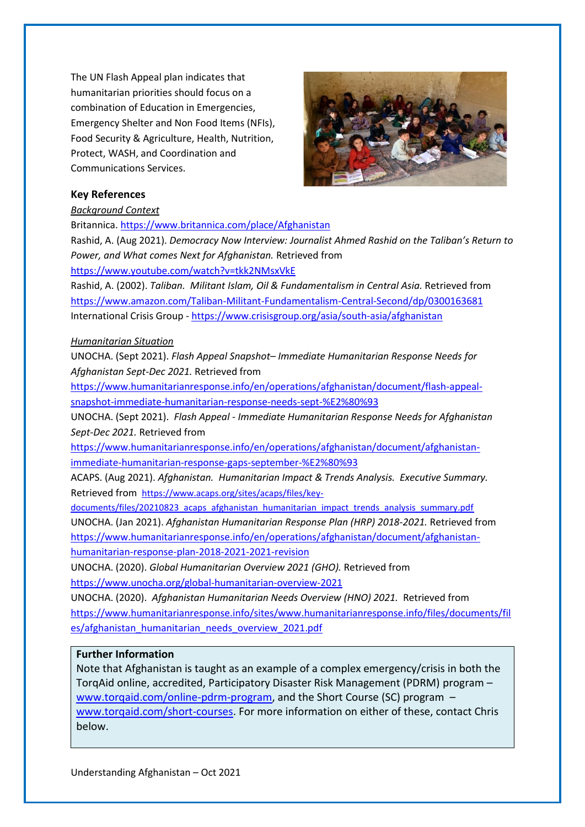The UN Flash Appeal plan indicates that humanitarian priorities should focus on a combination of Education in Emergencies, Emergency Shelter and Non Food Items (NFIs), Food Security & Agriculture, Health, Nutrition, Protect, WASH, and Coordination and Communications Services.



#### **Key References**

*Background Context*

Britannica[. https://www.britannica.com/place/Afghanistan](https://www.britannica.com/place/Afghanistan)

Rashid, A. (Aug 2021). *Democracy Now Interview: Journalist Ahmed Rashid on the Taliban's Return to Power, and What comes Next for Afghanistan.* Retrieved from

<https://www.youtube.com/watch?v=tkk2NMsxVkE>

Rashid, A. (2002). *Taliban. Militant Islam, Oil & Fundamentalism in Central Asia.* Retrieved from <https://www.amazon.com/Taliban-Militant-Fundamentalism-Central-Second/dp/0300163681> International Crisis Group - <https://www.crisisgroup.org/asia/south-asia/afghanistan>

#### *Humanitarian Situation*

UNOCHA. (Sept 2021). *Flash Appeal Snapshot– Immediate Humanitarian Response Needs for Afghanistan Sept-Dec 2021.* Retrieved from

[https://www.humanitarianresponse.info/en/operations/afghanistan/document/flash-appeal](https://www.humanitarianresponse.info/en/operations/afghanistan/document/flash-appeal-snapshot-immediate-humanitarian-response-needs-sept-%E2%80%93)[snapshot-immediate-humanitarian-response-needs-sept-%E2%80%93](https://www.humanitarianresponse.info/en/operations/afghanistan/document/flash-appeal-snapshot-immediate-humanitarian-response-needs-sept-%E2%80%93)

UNOCHA. (Sept 2021). *Flash Appeal - Immediate Humanitarian Response Needs for Afghanistan Sept-Dec 2021.* Retrieved from

[https://www.humanitarianresponse.info/en/operations/afghanistan/document/afghanistan](https://www.humanitarianresponse.info/en/operations/afghanistan/document/afghanistan-immediate-humanitarian-response-gaps-september-%E2%80%93)[immediate-humanitarian-response-gaps-september-%E2%80%93](https://www.humanitarianresponse.info/en/operations/afghanistan/document/afghanistan-immediate-humanitarian-response-gaps-september-%E2%80%93)

ACAPS. (Aug 2021). *Afghanistan. Humanitarian Impact & Trends Analysis. Executive Summary.*  Retrieved from [https://www.acaps.org/sites/acaps/files/key-](https://www.acaps.org/sites/acaps/files/key-documents/files/20210823_acaps_afghanistan_humanitarian_impact_trends_analysis_summary.pdf)

[documents/files/20210823\\_acaps\\_afghanistan\\_humanitarian\\_impact\\_trends\\_analysis\\_summary.pdf](https://www.acaps.org/sites/acaps/files/key-documents/files/20210823_acaps_afghanistan_humanitarian_impact_trends_analysis_summary.pdf) UNOCHA. (Jan 2021). *Afghanistan Humanitarian Response Plan (HRP) 2018-2021.* Retrieved from [https://www.humanitarianresponse.info/en/operations/afghanistan/document/afghanistan](https://www.humanitarianresponse.info/en/operations/afghanistan/document/afghanistan-humanitarian-response-plan-2018-2021-2021-revision)[humanitarian-response-plan-2018-2021-2021-revision](https://www.humanitarianresponse.info/en/operations/afghanistan/document/afghanistan-humanitarian-response-plan-2018-2021-2021-revision)

UNOCHA. (2020). *Global Humanitarian Overview 2021 (GHO).* Retrieved from <https://www.unocha.org/global-humanitarian-overview-2021>

UNOCHA. (2020). *Afghanistan Humanitarian Needs Overview (HNO) 2021.* Retrieved from [https://www.humanitarianresponse.info/sites/www.humanitarianresponse.info/files/documents/fil](https://www.humanitarianresponse.info/sites/www.humanitarianresponse.info/files/documents/files/afghanistan_humanitarian_needs_overview_2021.pdf) [es/afghanistan\\_humanitarian\\_needs\\_overview\\_2021.pdf](https://www.humanitarianresponse.info/sites/www.humanitarianresponse.info/files/documents/files/afghanistan_humanitarian_needs_overview_2021.pdf)

#### **Further Information**

Note that Afghanistan is taught as an example of a complex emergency/crisis in both the TorqAid online, accredited, Participatory Disaster Risk Management (PDRM) program – [www.torqaid.com/online-pdrm-program,](http://www.torqaid.com/online-pdrm-program) and the Short Course (SC) program – [www.torqaid.com/short-courses.](http://www.torqaid.com/short-courses) For more information on either of these, contact Chris below.